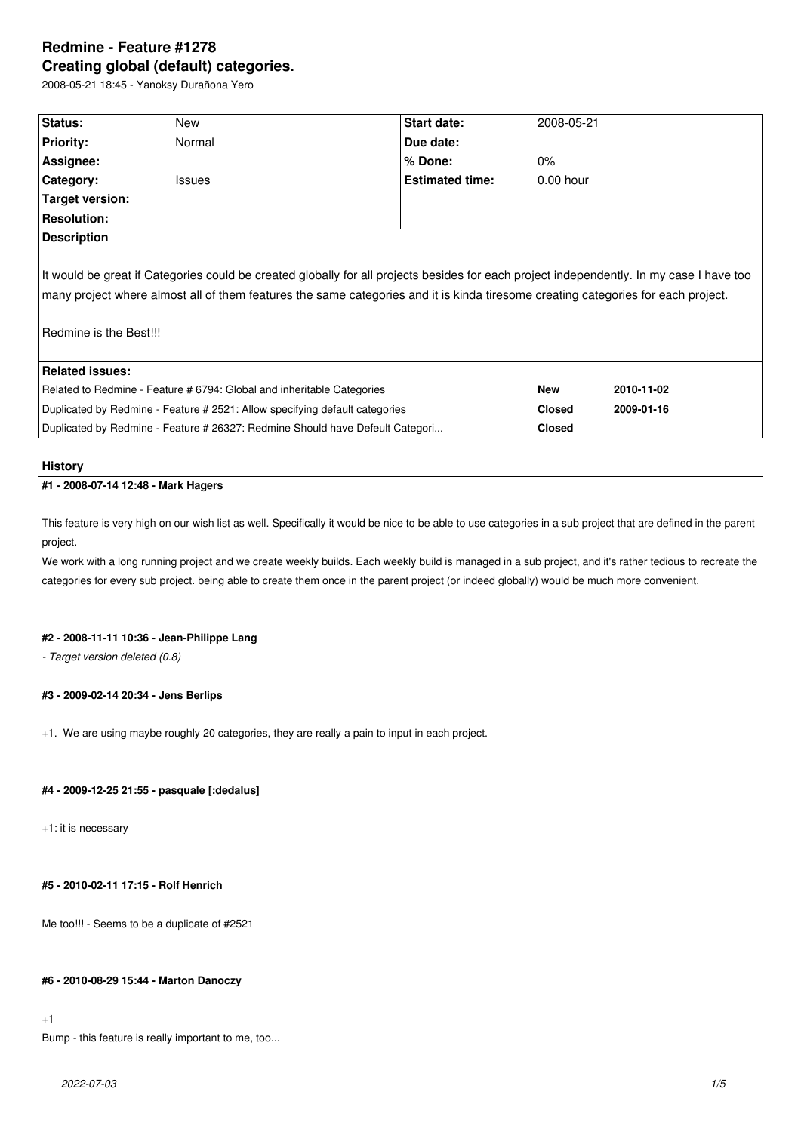# **Redmine - Feature #1278 Creating global (default) categories.**

2008-05-21 18:45 - Yanoksy Durañona Yero

| Status:                                                                                                                                  | New           | <b>Start date:</b>     | 2008-05-21    |            |
|------------------------------------------------------------------------------------------------------------------------------------------|---------------|------------------------|---------------|------------|
| Priority:                                                                                                                                | Normal        | Due date:              |               |            |
| Assignee:                                                                                                                                |               | % Done:                | $0\%$         |            |
| <b>Category:</b>                                                                                                                         | <b>Issues</b> | <b>Estimated time:</b> | $0.00$ hour   |            |
| Target version:                                                                                                                          |               |                        |               |            |
| <b>Resolution:</b>                                                                                                                       |               |                        |               |            |
| <b>Description</b>                                                                                                                       |               |                        |               |            |
|                                                                                                                                          |               |                        |               |            |
| It would be great if Categories could be created globally for all projects besides for each project independently. In my case I have too |               |                        |               |            |
| many project where almost all of them features the same categories and it is kinda tiresome creating categories for each project.        |               |                        |               |            |
|                                                                                                                                          |               |                        |               |            |
| Redmine is the Best!!!                                                                                                                   |               |                        |               |            |
|                                                                                                                                          |               |                        |               |            |
| <b>Related issues:</b>                                                                                                                   |               |                        |               |            |
| Related to Redmine - Feature # 6794: Global and inheritable Categories                                                                   |               |                        | <b>New</b>    | 2010-11-02 |
| Duplicated by Redmine - Feature # 2521: Allow specifying default categories                                                              |               |                        | <b>Closed</b> | 2009-01-16 |
| Duplicated by Redmine - Feature # 26327: Redmine Should have Defeult Categori                                                            |               |                        | <b>Closed</b> |            |
|                                                                                                                                          |               |                        |               |            |

### **History**

# **#1 - 2008-07-14 12:48 - Mark Hagers**

This feature is very high on our wish list as well. Specifically it would be nice to be able to use categories in a sub project that are defined in the parent project.

We work with a long running project and we create weekly builds. Each weekly build is managed in a sub project, and it's rather tedious to recreate the categories for every sub project. being able to create them once in the parent project (or indeed globally) would be much more convenient.

# **#2 - 2008-11-11 10:36 - Jean-Philippe Lang**

*- Target version deleted (0.8)*

# **#3 - 2009-02-14 20:34 - Jens Berlips**

+1. We are using maybe roughly 20 categories, they are really a pain to input in each project.

## **#4 - 2009-12-25 21:55 - pasquale [:dedalus]**

+1: it is necessary

### **#5 - 2010-02-11 17:15 - Rolf Henrich**

Me too!!! - Seems to be a duplicate of #2521

## **#6 - 2010-08-29 15:44 - Marton Danoczy**

# +1

Bump - this feature is really important to me, too...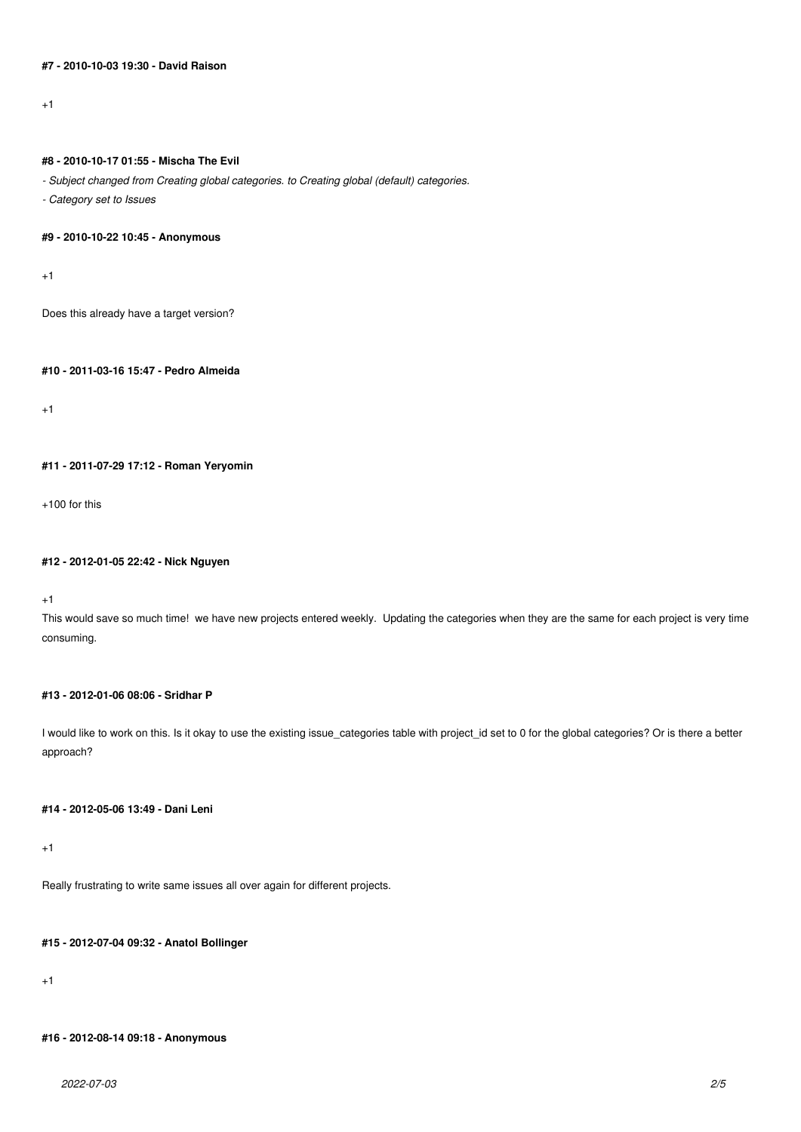# **#7 - 2010-10-03 19:30 - David Raison**

+1

## **#8 - 2010-10-17 01:55 - Mischa The Evil**

*- Subject changed from Creating global categories. to Creating global (default) categories.*

*- Category set to Issues*

### **#9 - 2010-10-22 10:45 - Anonymous**

+1

Does this already have a target version?

# **#10 - 2011-03-16 15:47 - Pedro Almeida**

 $+1$ 

# **#11 - 2011-07-29 17:12 - Roman Yeryomin**

 $+100$  for this

### **#12 - 2012-01-05 22:42 - Nick Nguyen**

+1

This would save so much time! we have new projects entered weekly. Updating the categories when they are the same for each project is very time consuming.

### **#13 - 2012-01-06 08:06 - Sridhar P**

I would like to work on this. Is it okay to use the existing issue\_categories table with project\_id set to 0 for the global categories? Or is there a better approach?

### **#14 - 2012-05-06 13:49 - Dani Leni**

+1

Really frustrating to write same issues all over again for different projects.

# **#15 - 2012-07-04 09:32 - Anatol Bollinger**

 $+1$ 

# **#16 - 2012-08-14 09:18 - Anonymous**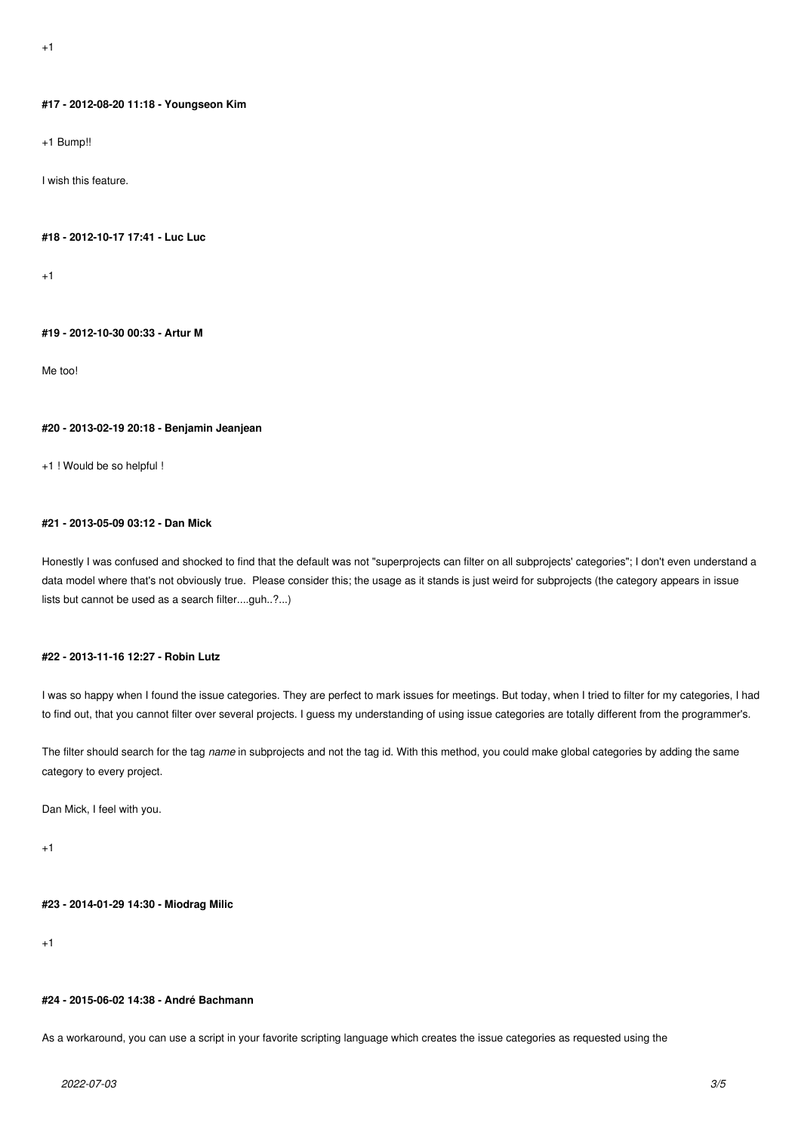#### **#17 - 2012-08-20 11:18 - Youngseon Kim**

+1 Bump!!

I wish this feature.

#### **#18 - 2012-10-17 17:41 - Luc Luc**

 $+1$ 

### **#19 - 2012-10-30 00:33 - Artur M**

Me too!

#### **#20 - 2013-02-19 20:18 - Benjamin Jeanjean**

+1 ! Would be so helpful !

# **#21 - 2013-05-09 03:12 - Dan Mick**

Honestly I was confused and shocked to find that the default was not "superprojects can filter on all subprojects' categories"; I don't even understand a data model where that's not obviously true. Please consider this; the usage as it stands is just weird for subprojects (the category appears in issue lists but cannot be used as a search filter....guh..?...)

# **#22 - 2013-11-16 12:27 - Robin Lutz**

I was so happy when I found the issue categories. They are perfect to mark issues for meetings. But today, when I tried to filter for my categories, I had to find out, that you cannot filter over several projects. I guess my understanding of using issue categories are totally different from the programmer's.

The filter should search for the tag *name* in subprojects and not the tag id. With this method, you could make global categories by adding the same category to every project.

Dan Mick, I feel with you.

+1

### **#23 - 2014-01-29 14:30 - Miodrag Milic**

+1

### **#24 - 2015-06-02 14:38 - André Bachmann**

As a workaround, you can use a script in your favorite scripting language which creates the issue categories as requested using the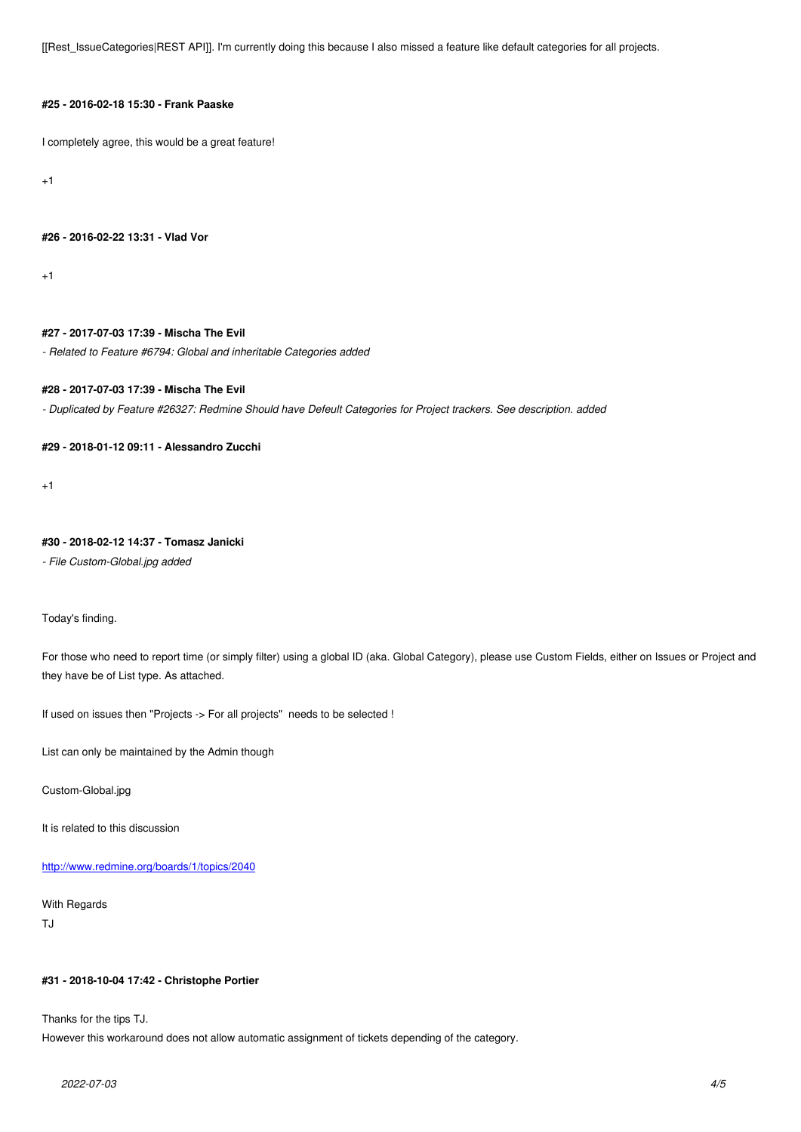# **#25 - 2016-02-18 15:30 - Frank Paaske**

I completely agree, this would be a great feature!

+1

### **#26 - 2016-02-22 13:31 - Vlad Vor**

+1

### **#27 - 2017-07-03 17:39 - Mischa The Evil**

*- Related to Feature #6794: Global and inheritable Categories added*

### **#28 - 2017-07-03 17:39 - Mischa The Evil**

*- Duplicated by Feature #26327: Redmine Should have Defeult Categories for Project trackers. See description. added*

### **#29 - 2018-01-12 09:11 - Alessandro Zucchi**

+1

# **#30 - 2018-02-12 14:37 - Tomasz Janicki**

*- File Custom-Global.jpg added*

#### Today's finding.

For those who need to report time (or simply filter) using a global ID (aka. Global Category), please use Custom Fields, either on Issues or Project and they have be of List type. As attached.

If used on issues then "Projects -> For all projects" needs to be selected !

List can only be maintained by the Admin though

Custom-Global.jpg

It is related to this discussion

http://www.redmine.org/boards/1/topics/2040

# With Regards

[TJ](http://www.redmine.org/boards/1/topics/2040)

### **#31 - 2018-10-04 17:42 - Christophe Portier**

Thanks for the tips TJ.

However this workaround does not allow automatic assignment of tickets depending of the category.